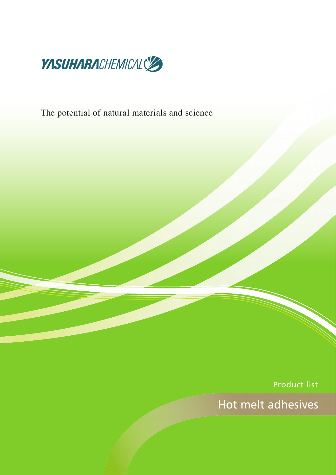

The potential of natural materials and science

Product list

Hot melt adhesives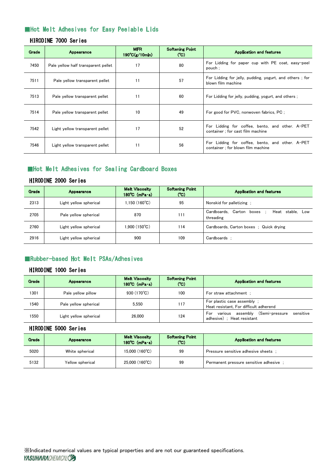# Hot Melt Adhesives for Easy Peelable Lids

## HIRODINE 7000 Series

| <b>Grade</b> | <b>Appearance</b>                   | <b>MFR</b><br>$190^{\circ}C(g/10min)$ | <b>Softening Point</b><br>(C <sub>C</sub> ) | <b>Application and features</b>                                                       |
|--------------|-------------------------------------|---------------------------------------|---------------------------------------------|---------------------------------------------------------------------------------------|
| 7450         | Pale yellow half transparent pellet | 17                                    | 80                                          | For Lidding for paper cup with PE coat, easy-peel<br>pouch :                          |
| 7511         | Pale yellow transparent pellet      | 11                                    | 57                                          | For Lidding for jelly, pudding, yogurt, and others; for<br>blown film machine         |
| 7513         | Pale yellow transparent pellet      | 11                                    | 60                                          | For Lidding for jelly, pudding, yogurt, and others;                                   |
| 7514         | Pale yellow transparent pellet      | 10                                    | 49                                          | For good for PVC, nonwoven fabrics, PC ;                                              |
| 7542         | Light yellow transparent pellet     | 17                                    | 52                                          | For Lidding for coffee, bento, and other. A-PET<br>container : for cast film machine  |
| 7546         | Light yellow transparent pellet     | 11                                    | 56                                          | For Lidding for coffee, bento, and other. A-PET<br>container : for blown film machine |

# Hot Melt Adhesives for Sealing Cardboard Boxes

#### HIRODINE 2000 Series

| <b>Grade</b> | <b>Appearance</b>      | <b>Melt Viscosity</b><br>$180^{\circ}$ C. (mPa $\cdot$ s). | <b>Softening Point</b><br>(C) | <b>Application and features</b>                             |
|--------------|------------------------|------------------------------------------------------------|-------------------------------|-------------------------------------------------------------|
| 2313         | Light yellow spherical | $1.150(160^{\circ}C)$                                      | 95                            | Nonskid for palletizing :                                   |
| 2705         | Pale yellow spherical  | 870                                                        | 111                           | Cardboards, Carton boxes ;<br>Heat stable. Low<br>threading |
| 2760         | Light yellow spherical | $1.900(150^{\circ}C)$                                      | 114                           | Cardboards, Carton boxes ; Quick drying                     |
| 2916         | Light yellow spherical | 900                                                        | 109                           | Cardboards :                                                |

# Rubber-based Hot Melt PSAs/Adhesives

## HIRODINE 1000 Series

| Grade | <b>Appearance</b>      | <b>Melt Viscosity</b><br>$180^{\circ}$ C (mPa $\cdot$ s) | <b>Softening Point</b><br>(C) | <b>Application and features</b>                                                         |
|-------|------------------------|----------------------------------------------------------|-------------------------------|-----------------------------------------------------------------------------------------|
| 1301  | Pale vellow pillow     | 930 $(170^{\circ}C)$                                     | 100                           | For straw attachment:                                                                   |
| 1540  | Pale yellow spherical  | 5.550                                                    | 117                           | For plastic case assembly :<br>Heat resistant, For difficult adherend                   |
| 1550  | Light yellow spherical | 26,000                                                   | 124                           | (Semi-pressure<br>sensitive<br>assemblv<br>various<br>For<br>adhesive) : Heat resistant |

#### HIRODINE 5000 Series

| <b>Grade</b> | <b>Appearance</b> | <b>Melt Viscosity</b><br>$180^{\circ}$ C (mPa $\cdot$ s) | <b>Softening Point</b><br>(C) | <b>Application and features</b>         |
|--------------|-------------------|----------------------------------------------------------|-------------------------------|-----------------------------------------|
| 5020         | White spherical   | $15.000(160^{\circ}C)$                                   | 99                            | Pressure sensitive adhesive sheets :    |
| 5132         | Yellow spherical  | $25,000(160^{\circ}C)$                                   | 99                            | Permanent pressure sensitive adhesive ; |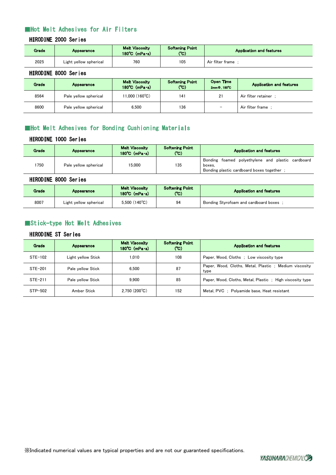# Hot Melt Adhesives for Air Filters

#### HIRODINE 2000 Series

| <b>Grade</b> | <b>Appearance</b>      | <b>Melt Viscosity</b><br>$180^{\circ}$ C. (mPa $\cdot$ s). | <b>Softening Point</b><br>$(C^{\circ})$ | <b>Application and features</b> |
|--------------|------------------------|------------------------------------------------------------|-----------------------------------------|---------------------------------|
| 2025         | Light yellow spherical | 760                                                        | 105                                     | Air filter frame                |

## HIRODINE 8000 Series

| Grade | <b>Appearance</b>     | <b>Melt Viscosity</b><br>$180^{\circ}$ C. (mPa $\cdot$ s) | <b>Softening Point</b><br>(°C). | Open Time<br>2mm Φ. 180°C | <b>Application and features</b> |
|-------|-----------------------|-----------------------------------------------------------|---------------------------------|---------------------------|---------------------------------|
| 8564  | Pale yellow spherical | 11.000 (160°C).                                           | 141                             | 21                        | Air filter retainer             |
| 8600  | Pale yellow spherical | 6,500                                                     | 136                             |                           | Air filter frame                |

# Hot Melt Adhesives for Bonding Cushioning Materials

## HIRODINE 1000 Series

| <b>Grade</b> | <b>Appearance</b>     | <b>Melt Viscosity</b><br>$180^{\circ}$ C (mPa $\cdot$ s) | <b>Softening Point</b><br>(C) | <b>Application and features</b>                                                                           |
|--------------|-----------------------|----------------------------------------------------------|-------------------------------|-----------------------------------------------------------------------------------------------------------|
| 750          | Pale yellow spherical | 15.000                                                   | 135                           | Bonding foamed polyethylene and plastic cardboard<br>boxes.<br>Bonding plastic cardboard boxes together ; |

#### HIRODINE 8000 Series

| Grade. | <b>Appearance</b>      | <b>Melt Viscosity</b><br>$180^{\circ}$ C (mPa $\cdot$ s) | <b>Softening Point</b><br>(°C) | <b>Application and features</b>       |
|--------|------------------------|----------------------------------------------------------|--------------------------------|---------------------------------------|
| 8007   | Light yellow spherical | $5.500(140^{\circ}C)$                                    | 94                             | Bonding Styrofoam and cardboard boxes |

# Stick-type Hot Melt Adhesives

## HIRODINE ST Series

| <b>Grade</b> | <b>Appearance</b>  | <b>Melt Viscosity</b><br>$180^{\circ}$ C. (mPa $\cdot$ s). | <b>Softening Point</b><br>(C) | <b>Application and features</b>                               |
|--------------|--------------------|------------------------------------------------------------|-------------------------------|---------------------------------------------------------------|
| STE-102      | Light yellow Stick | 1.010                                                      | 108                           | Paper, Wood, Cloths : Low viscosity type                      |
| STE-201      | Pale yellow Stick  | 6.500                                                      | 87                            | Paper, Wood, Cloths, Metal, Plastic; Medium viscosity<br>type |
| $STE-211$    | Pale vellow Stick  | 9.900                                                      | 85                            | Paper, Wood, Cloths, Metal, Plastic: High viscosity type      |
| STP-502      | Amber Stick        | $2.750(200^{\circ}C)$                                      | 152                           | Metal, PVC ; Polyamide base, Heat resistant                   |